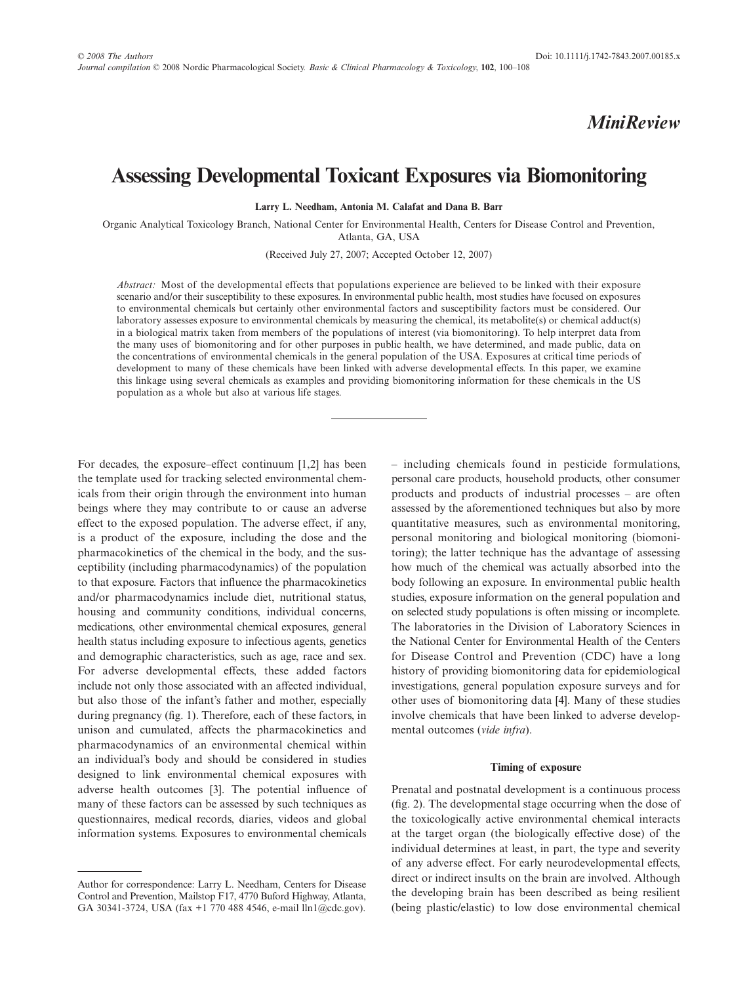## $MiniReview$

# **Assessing Developmental Toxicant Exposures via Biomonitoring**

**Larry L. Needham, Antonia M. Calafat and Dana B. Barr**

Organic Analytical Toxicology Branch, National Center for Environmental Health, Centers for Disease Control and Prevention, Atlanta, GA, USA

(Received July 27, 2007; Accepted October 12, 2007)

*Abstract:* Most of the developmental effects that populations experience are believed to be linked with their exposure scenario and/or their susceptibility to these exposures. In environmental public health, most studies have focused on exposures to environmental chemicals but certainly other environmental factors and susceptibility factors must be considered. Our laboratory assesses exposure to environmental chemicals by measuring the chemical, its metabolite(s) or chemical adduct(s) in a biological matrix taken from members of the populations of interest (via biomonitoring). To help interpret data from the many uses of biomonitoring and for other purposes in public health, we have determined, and made public, data on the concentrations of environmental chemicals in the general population of the USA. Exposures at critical time periods of development to many of these chemicals have been linked with adverse developmental effects. In this paper, we examine this linkage using several chemicals as examples and providing biomonitoring information for these chemicals in the US population as a whole but also at various life stages.

For decades, the exposure–effect continuum [1,2] has been the template used for tracking selected environmental chemicals from their origin through the environment into human beings where they may contribute to or cause an adverse effect to the exposed population. The adverse effect, if any, is a product of the exposure, including the dose and the pharmacokinetics of the chemical in the body, and the susceptibility (including pharmacodynamics) of the population to that exposure. Factors that influence the pharmacokinetics and/or pharmacodynamics include diet, nutritional status, housing and community conditions, individual concerns, medications, other environmental chemical exposures, general health status including exposure to infectious agents, genetics and demographic characteristics, such as age, race and sex. For adverse developmental effects, these added factors include not only those associated with an affected individual, but also those of the infant's father and mother, especially during pregnancy (fig. 1). Therefore, each of these factors, in unison and cumulated, affects the pharmacokinetics and pharmacodynamics of an environmental chemical within an individual's body and should be considered in studies designed to link environmental chemical exposures with adverse health outcomes [3]. The potential influence of many of these factors can be assessed by such techniques as questionnaires, medical records, diaries, videos and global information systems. Exposures to environmental chemicals

– including chemicals found in pesticide formulations, personal care products, household products, other consumer products and products of industrial processes – are often assessed by the aforementioned techniques but also by more quantitative measures, such as environmental monitoring, personal monitoring and biological monitoring (biomonitoring); the latter technique has the advantage of assessing how much of the chemical was actually absorbed into the body following an exposure. In environmental public health studies, exposure information on the general population and on selected study populations is often missing or incomplete. The laboratories in the Division of Laboratory Sciences in the National Center for Environmental Health of the Centers for Disease Control and Prevention (CDC) have a long history of providing biomonitoring data for epidemiological investigations, general population exposure surveys and for other uses of biomonitoring data [4]. Many of these studies involve chemicals that have been linked to adverse developmental outcomes (*vide infra*).

#### **Timing of exposure**

Prenatal and postnatal development is a continuous process (fig. 2). The developmental stage occurring when the dose of the toxicologically active environmental chemical interacts at the target organ (the biologically effective dose) of the individual determines at least, in part, the type and severity of any adverse effect. For early neurodevelopmental effects, direct or indirect insults on the brain are involved. Although the developing brain has been described as being resilient (being plastic/elastic) to low dose environmental chemical

Author for correspondence: Larry L. Needham, Centers for Disease Control and Prevention, Mailstop F17, 4770 Buford Highway, Atlanta, GA 30341-3724, USA (fax +1 770 488 4546, e-mail lln1@cdc.gov).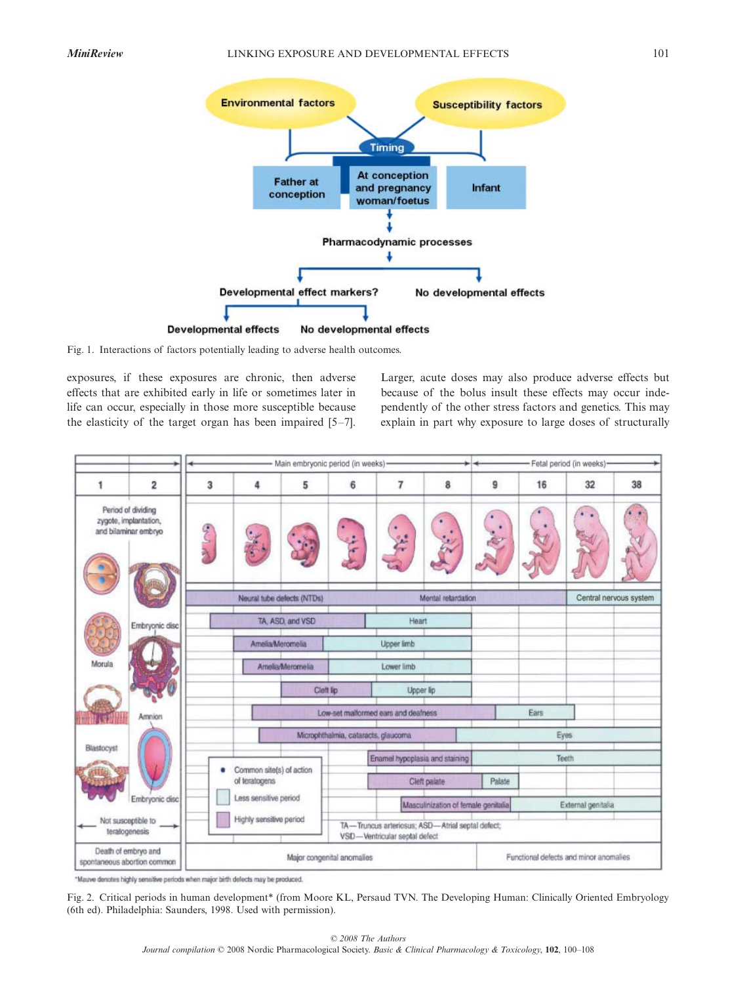

Fig. 1. Interactions of factors potentially leading to adverse health outcomes.

exposures, if these exposures are chronic, then adverse effects that are exhibited early in life or sometimes later in life can occur, especially in those more susceptible because the elasticity of the target organ has been impaired [5–7].

Larger, acute doses may also produce adverse effects but because of the bolus insult these effects may occur independently of the other stress factors and genetics. This may explain in part why exposure to large doses of structurally



\*Mauve denotes highly sensitive periods when major birth defects may be produced.

Fig. 2. Critical periods in human development\* (from Moore KL, Persaud TVN. The Developing Human: Clinically Oriented Embryology (6th ed). Philadelphia: Saunders, 1998. Used with permission).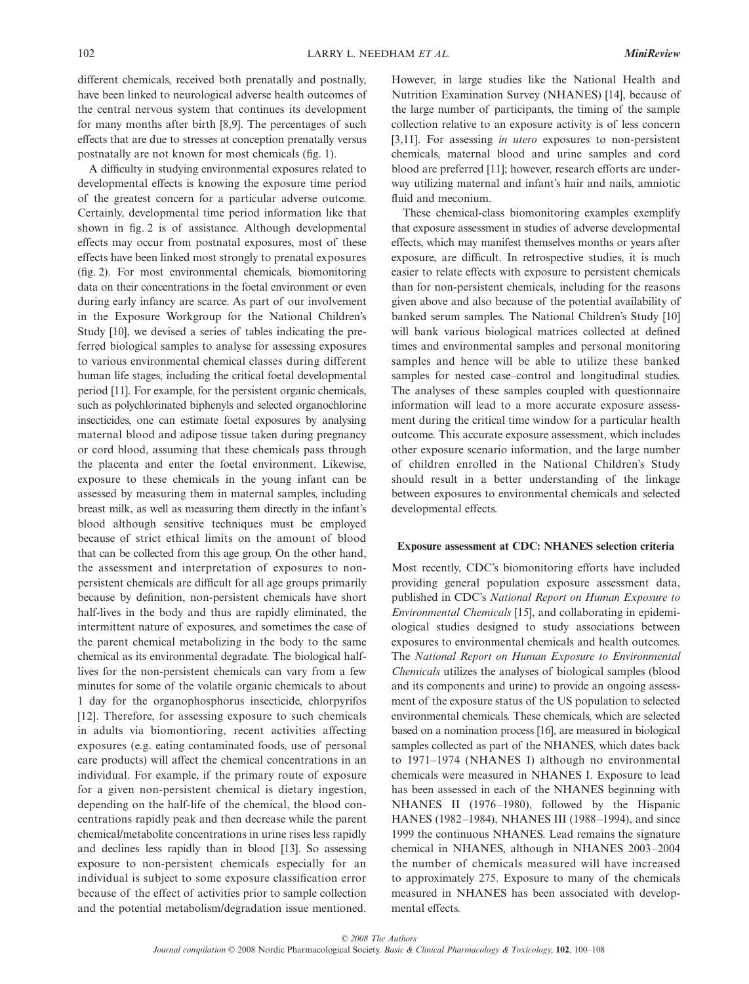different chemicals, received both prenatally and postnally, have been linked to neurological adverse health outcomes of the central nervous system that continues its development for many months after birth [8,9]. The percentages of such effects that are due to stresses at conception prenatally versus postnatally are not known for most chemicals (fig. 1).

A difficulty in studying environmental exposures related to developmental effects is knowing the exposure time period of the greatest concern for a particular adverse outcome. Certainly, developmental time period information like that shown in fig. 2 is of assistance. Although developmental effects may occur from postnatal exposures, most of these effects have been linked most strongly to prenatal exposures (fig. 2). For most environmental chemicals, biomonitoring data on their concentrations in the foetal environment or even during early infancy are scarce. As part of our involvement in the Exposure Workgroup for the National Children's Study [10], we devised a series of tables indicating the preferred biological samples to analyse for assessing exposures to various environmental chemical classes during different human life stages, including the critical foetal developmental period [11]. For example, for the persistent organic chemicals, such as polychlorinated biphenyls and selected organochlorine insecticides, one can estimate foetal exposures by analysing maternal blood and adipose tissue taken during pregnancy or cord blood, assuming that these chemicals pass through the placenta and enter the foetal environment. Likewise, exposure to these chemicals in the young infant can be assessed by measuring them in maternal samples, including breast milk, as well as measuring them directly in the infant's blood although sensitive techniques must be employed because of strict ethical limits on the amount of blood that can be collected from this age group. On the other hand, the assessment and interpretation of exposures to nonpersistent chemicals are difficult for all age groups primarily because by definition, non-persistent chemicals have short half-lives in the body and thus are rapidly eliminated, the intermittent nature of exposures, and sometimes the case of the parent chemical metabolizing in the body to the same chemical as its environmental degradate. The biological halflives for the non-persistent chemicals can vary from a few minutes for some of the volatile organic chemicals to about 1 day for the organophosphorus insecticide, chlorpyrifos [12]. Therefore, for assessing exposure to such chemicals in adults via biomontioring, recent activities affecting exposures (e.g. eating contaminated foods, use of personal care products) will affect the chemical concentrations in an individual. For example, if the primary route of exposure for a given non-persistent chemical is dietary ingestion, depending on the half-life of the chemical, the blood concentrations rapidly peak and then decrease while the parent chemical/metabolite concentrations in urine rises less rapidly and declines less rapidly than in blood [13]. So assessing exposure to non-persistent chemicals especially for an individual is subject to some exposure classification error because of the effect of activities prior to sample collection and the potential metabolism/degradation issue mentioned.

However, in large studies like the National Health and Nutrition Examination Survey (NHANES) [14], because of the large number of participants, the timing of the sample collection relative to an exposure activity is of less concern [3,11]. For assessing *in utero* exposures to non-persistent chemicals, maternal blood and urine samples and cord blood are preferred [11]; however, research efforts are underway utilizing maternal and infant's hair and nails, amniotic fluid and meconium.

These chemical-class biomonitoring examples exemplify that exposure assessment in studies of adverse developmental effects, which may manifest themselves months or years after exposure, are difficult. In retrospective studies, it is much easier to relate effects with exposure to persistent chemicals than for non-persistent chemicals, including for the reasons given above and also because of the potential availability of banked serum samples. The National Children's Study [10] will bank various biological matrices collected at defined times and environmental samples and personal monitoring samples and hence will be able to utilize these banked samples for nested case–control and longitudinal studies. The analyses of these samples coupled with questionnaire information will lead to a more accurate exposure assessment during the critical time window for a particular health outcome. This accurate exposure assessment, which includes other exposure scenario information, and the large number of children enrolled in the National Children's Study should result in a better understanding of the linkage between exposures to environmental chemicals and selected developmental effects.

### **Exposure assessment at CDC: NHANES selection criteria**

Most recently, CDC's biomonitoring efforts have included providing general population exposure assessment data, published in CDC's *National Report on Human Exposure to Environmental Chemicals* [15], and collaborating in epidemiological studies designed to study associations between exposures to environmental chemicals and health outcomes. The *National Report on Human Exposure to Environmental Chemicals* utilizes the analyses of biological samples (blood and its components and urine) to provide an ongoing assessment of the exposure status of the US population to selected environmental chemicals. These chemicals, which are selected based on a nomination process [16], are measured in biological samples collected as part of the NHANES, which dates back to 1971–1974 (NHANES I) although no environmental chemicals were measured in NHANES I. Exposure to lead has been assessed in each of the NHANES beginning with NHANES II (1976–1980), followed by the Hispanic HANES (1982–1984), NHANES III (1988–1994), and since 1999 the continuous NHANES. Lead remains the signature chemical in NHANES, although in NHANES 2003–2004 the number of chemicals measured will have increased to approximately 275. Exposure to many of the chemicals measured in NHANES has been associated with developmental effects.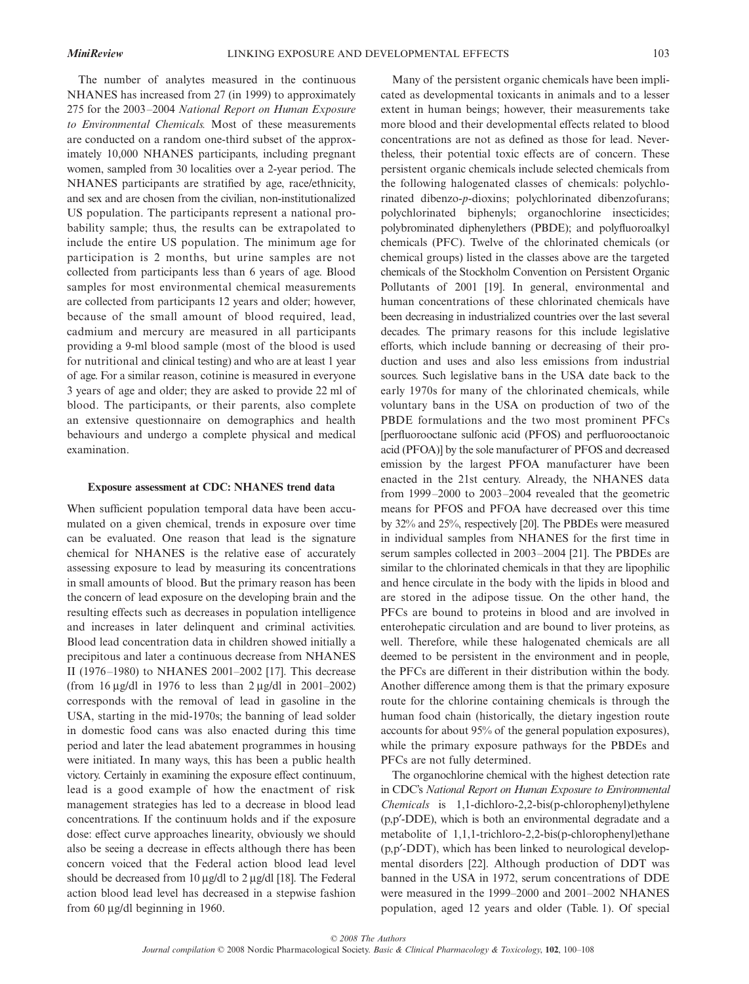The number of analytes measured in the continuous NHANES has increased from 27 (in 1999) to approximately 275 for the 2003–2004 *National Report on Human Exposure to Environmental Chemicals.* Most of these measurements are conducted on a random one-third subset of the approximately 10,000 NHANES participants, including pregnant women, sampled from 30 localities over a 2-year period. The NHANES participants are stratified by age, race/ethnicity, and sex and are chosen from the civilian, non-institutionalized US population. The participants represent a national probability sample; thus, the results can be extrapolated to include the entire US population. The minimum age for participation is 2 months, but urine samples are not collected from participants less than 6 years of age. Blood samples for most environmental chemical measurements are collected from participants 12 years and older; however, because of the small amount of blood required, lead, cadmium and mercury are measured in all participants providing a 9-ml blood sample (most of the blood is used for nutritional and clinical testing) and who are at least 1 year of age. For a similar reason, cotinine is measured in everyone 3 years of age and older; they are asked to provide 22 ml of blood. The participants, or their parents, also complete an extensive questionnaire on demographics and health behaviours and undergo a complete physical and medical examination.

## **Exposure assessment at CDC: NHANES trend data**

When sufficient population temporal data have been accumulated on a given chemical, trends in exposure over time can be evaluated. One reason that lead is the signature chemical for NHANES is the relative ease of accurately assessing exposure to lead by measuring its concentrations in small amounts of blood. But the primary reason has been the concern of lead exposure on the developing brain and the resulting effects such as decreases in population intelligence and increases in later delinquent and criminal activities. Blood lead concentration data in children showed initially a precipitous and later a continuous decrease from NHANES II (1976–1980) to NHANES 2001–2002 [17]. This decrease (from  $16 \mu g/dl$  in 1976 to less than  $2 \mu g/dl$  in  $2001-2002$ ) corresponds with the removal of lead in gasoline in the USA, starting in the mid-1970s; the banning of lead solder in domestic food cans was also enacted during this time period and later the lead abatement programmes in housing were initiated. In many ways, this has been a public health victory. Certainly in examining the exposure effect continuum, lead is a good example of how the enactment of risk management strategies has led to a decrease in blood lead concentrations. If the continuum holds and if the exposure dose: effect curve approaches linearity, obviously we should also be seeing a decrease in effects although there has been concern voiced that the Federal action blood lead level should be decreased from 10  $\mu$ g/dl to 2  $\mu$ g/dl [18]. The Federal action blood lead level has decreased in a stepwise fashion from 60 µg/dl beginning in 1960.

Many of the persistent organic chemicals have been implicated as developmental toxicants in animals and to a lesser extent in human beings; however, their measurements take more blood and their developmental effects related to blood concentrations are not as defined as those for lead. Nevertheless, their potential toxic effects are of concern. These persistent organic chemicals include selected chemicals from the following halogenated classes of chemicals: polychlorinated dibenzo-*p*-dioxins; polychlorinated dibenzofurans; polychlorinated biphenyls; organochlorine insecticides; polybrominated diphenylethers (PBDE); and polyfluoroalkyl chemicals (PFC). Twelve of the chlorinated chemicals (or chemical groups) listed in the classes above are the targeted chemicals of the Stockholm Convention on Persistent Organic Pollutants of 2001 [19]. In general, environmental and human concentrations of these chlorinated chemicals have been decreasing in industrialized countries over the last several decades. The primary reasons for this include legislative efforts, which include banning or decreasing of their production and uses and also less emissions from industrial sources. Such legislative bans in the USA date back to the early 1970s for many of the chlorinated chemicals, while voluntary bans in the USA on production of two of the PBDE formulations and the two most prominent PFCs [perfluorooctane sulfonic acid (PFOS) and perfluorooctanoic acid (PFOA)] by the sole manufacturer of PFOS and decreased emission by the largest PFOA manufacturer have been enacted in the 21st century. Already, the NHANES data from 1999–2000 to 2003–2004 revealed that the geometric means for PFOS and PFOA have decreased over this time by 32% and 25%, respectively [20]. The PBDEs were measured in individual samples from NHANES for the first time in serum samples collected in 2003–2004 [21]. The PBDEs are similar to the chlorinated chemicals in that they are lipophilic and hence circulate in the body with the lipids in blood and are stored in the adipose tissue. On the other hand, the PFCs are bound to proteins in blood and are involved in enterohepatic circulation and are bound to liver proteins, as well. Therefore, while these halogenated chemicals are all deemed to be persistent in the environment and in people, the PFCs are different in their distribution within the body. Another difference among them is that the primary exposure route for the chlorine containing chemicals is through the human food chain (historically, the dietary ingestion route accounts for about 95% of the general population exposures), while the primary exposure pathways for the PBDEs and PFCs are not fully determined.

The organochlorine chemical with the highest detection rate in CDC's *National Report on Human Exposure to Environmental Chemicals* is 1,1-dichloro-2,2-bis(p-chlorophenyl)ethylene (p,p′-DDE), which is both an environmental degradate and a metabolite of 1,1,1-trichloro-2,2-bis(p-chlorophenyl)ethane (p,p′-DDT), which has been linked to neurological developmental disorders [22]. Although production of DDT was banned in the USA in 1972, serum concentrations of DDE were measured in the 1999–2000 and 2001–2002 NHANES population, aged 12 years and older (Table. 1). Of special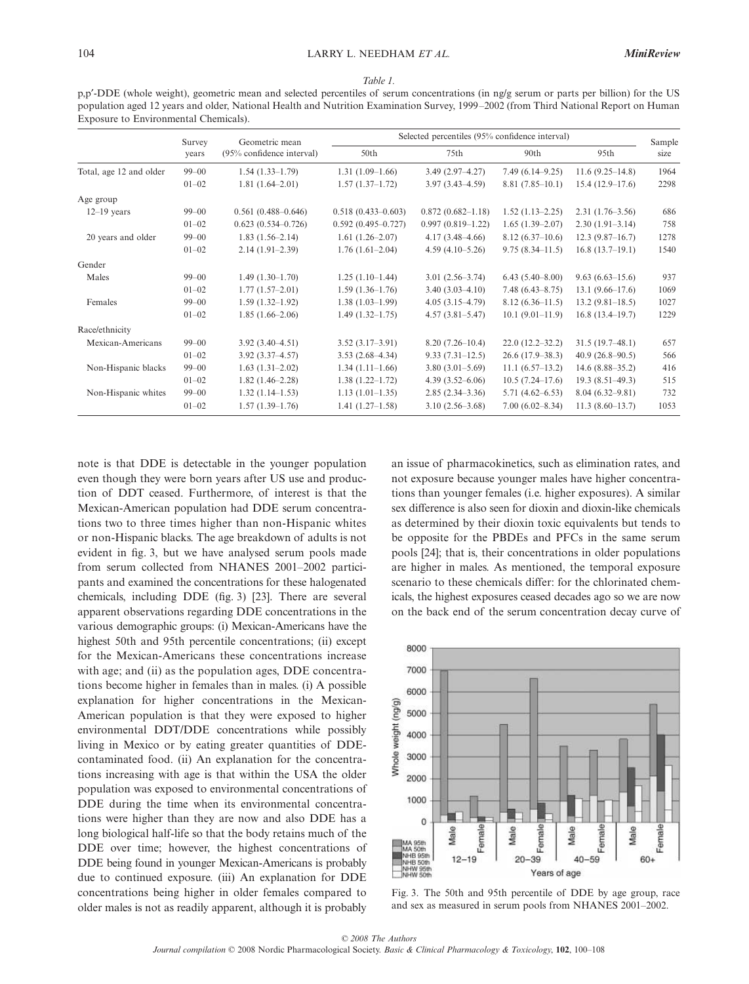p,p′-DDE (whole weight), geometric mean and selected percentiles of serum concentrations (in ng/g serum or parts per billion) for the US population aged 12 years and older, National Health and Nutrition Examination Survey, 1999–2002 (from Third National Report on Human Exposure to Environmental Chemicals).

|                         | Survey<br>years | Geometric mean            | Selected percentiles (95% confidence interval) |                       |                     |                     | Sample |
|-------------------------|-----------------|---------------------------|------------------------------------------------|-----------------------|---------------------|---------------------|--------|
|                         |                 | (95% confidence interval) | 50th                                           | 75th                  | 90th                | 95th                | size   |
| Total, age 12 and older | $99 - 00$       | $1.54(1.33-1.79)$         | $1.31(1.09-1.66)$                              | $3.49(2.97 - 4.27)$   | $7.49(6.14 - 9.25)$ | $11.6(9.25-14.8)$   | 1964   |
|                         | $01 - 02$       | $1.81(1.64 - 2.01)$       | $1.57(1.37-1.72)$                              | $3.97(3.43 - 4.59)$   | $8.81(7.85-10.1)$   | $15.4(12.9-17.6)$   | 2298   |
| Age group               |                 |                           |                                                |                       |                     |                     |        |
| $12-19$ years           | $99 - 00$       | $0.561(0.488 - 0.646)$    | $0.518(0.433 - 0.603)$                         | $0.872(0.682 - 1.18)$ | $1.52(1.13-2.25)$   | $2.31(1.76-3.56)$   | 686    |
|                         | $01 - 02$       | $0.623(0.534 - 0.726)$    | $0.592(0.495 - 0.727)$                         | $0.997(0.819 - 1.22)$ | $1.65(1.39-2.07)$   | $2.30(1.91-3.14)$   | 758    |
| 20 years and older      | $99 - 00$       | $1.83(1.56-2.14)$         | $1.61(1.26-2.07)$                              | $4.17(3.48 - 4.66)$   | $8.12(6.37-10.6)$   | $12.3(9.87-16.7)$   | 1278   |
|                         | $01 - 02$       | $2.14(1.91-2.39)$         | $1.76(1.61-2.04)$                              | $4.59(4.10-5.26)$     | $9.75(8.34 - 11.5)$ | 16.8(13.7–19.1)     | 1540   |
| Gender                  |                 |                           |                                                |                       |                     |                     |        |
| Males                   | $99 - 00$       | $1.49(1.30-1.70)$         | $1.25(1.10-1.44)$                              | $3.01(2.56-3.74)$     | $6.43(5.40-8.00)$   | $9.63(6.63-15.6)$   | 937    |
|                         | $01 - 02$       | $1.77(1.57-2.01)$         | $1.59(1.36-1.76)$                              | $3.40(3.03-4.10)$     | $7.48(6.43 - 8.75)$ | $13.1(9.66 - 17.6)$ | 1069   |
| Females                 | $99 - 00$       | $1.59(1.32 - 1.92)$       | $1.38(1.03-1.99)$                              | $4.05(3.15-4.79)$     | $8.12(6.36-11.5)$   | $13.2(9.81-18.5)$   | 1027   |
|                         | $01 - 02$       | $1.85(1.66-2.06)$         | $1.49(1.32 - 1.75)$                            | $4.57(3.81 - 5.47)$   | $10.1(9.01-11.9)$   | 16.8(13.4–19.7)     | 1229   |
| Race/ethnicity          |                 |                           |                                                |                       |                     |                     |        |
| Mexican-Americans       | $99 - 00$       | $3.92(3.40-4.51)$         | $3.52(3.17-3.91)$                              | $8.20(7.26-10.4)$     | $22.0(12.2 - 32.2)$ | $31.5(19.7-48.1)$   | 657    |
|                         | $01 - 02$       | $3.92(3.37 - 4.57)$       | $3.53(2.68-4.34)$                              | $9.33(7.31-12.5)$     | $26.6(17.9-38.3)$   | $40.9(26.8-90.5)$   | 566    |
| Non-Hispanic blacks     | $99 - 00$       | $1.63(1.31-2.02)$         | $1.34(1.11-1.66)$                              | $3.80(3.01-5.69)$     | $11.1(6.57-13.2)$   | $14.6(8.88-35.2)$   | 416    |
|                         | $01 - 02$       | $1.82(1.46-2.28)$         | $1.38(1.22 - 1.72)$                            | $4.39(3.52 - 6.06)$   | $10.5(7.24 - 17.6)$ | $19.3(8.51-49.3)$   | 515    |
| Non-Hispanic whites     | $99 - 00$       | $1.32(1.14-1.53)$         | $1.13(1.01-1.35)$                              | $2.85(2.34 - 3.36)$   | $5.71(4.62 - 6.53)$ | $8.04(6.32 - 9.81)$ | 732    |
|                         | $01 - 02$       | $1.57(1.39-1.76)$         | $1.41(1.27-1.58)$                              | $3.10(2.56-3.68)$     | $7.00(6.02 - 8.34)$ | $11.3(8.60-13.7)$   | 1053   |

note is that DDE is detectable in the younger population even though they were born years after US use and production of DDT ceased. Furthermore, of interest is that the Mexican-American population had DDE serum concentrations two to three times higher than non-Hispanic whites or non-Hispanic blacks. The age breakdown of adults is not evident in fig. 3, but we have analysed serum pools made from serum collected from NHANES 2001–2002 participants and examined the concentrations for these halogenated chemicals, including DDE (fig. 3) [23]. There are several apparent observations regarding DDE concentrations in the various demographic groups: (i) Mexican-Americans have the highest 50th and 95th percentile concentrations; (ii) except for the Mexican-Americans these concentrations increase with age; and (ii) as the population ages, DDE concentrations become higher in females than in males. (i) A possible explanation for higher concentrations in the Mexican-American population is that they were exposed to higher environmental DDT/DDE concentrations while possibly living in Mexico or by eating greater quantities of DDEcontaminated food. (ii) An explanation for the concentrations increasing with age is that within the USA the older population was exposed to environmental concentrations of DDE during the time when its environmental concentrations were higher than they are now and also DDE has a long biological half-life so that the body retains much of the DDE over time; however, the highest concentrations of DDE being found in younger Mexican-Americans is probably due to continued exposure. (iii) An explanation for DDE concentrations being higher in older females compared to older males is not as readily apparent, although it is probably

an issue of pharmacokinetics, such as elimination rates, and not exposure because younger males have higher concentrations than younger females (i.e. higher exposures). A similar sex difference is also seen for dioxin and dioxin-like chemicals as determined by their dioxin toxic equivalents but tends to be opposite for the PBDEs and PFCs in the same serum pools [24]; that is, their concentrations in older populations are higher in males. As mentioned, the temporal exposure scenario to these chemicals differ: for the chlorinated chemicals, the highest exposures ceased decades ago so we are now on the back end of the serum concentration decay curve of



Fig. 3. The 50th and 95th percentile of DDE by age group, race and sex as measured in serum pools from NHANES 2001–2002.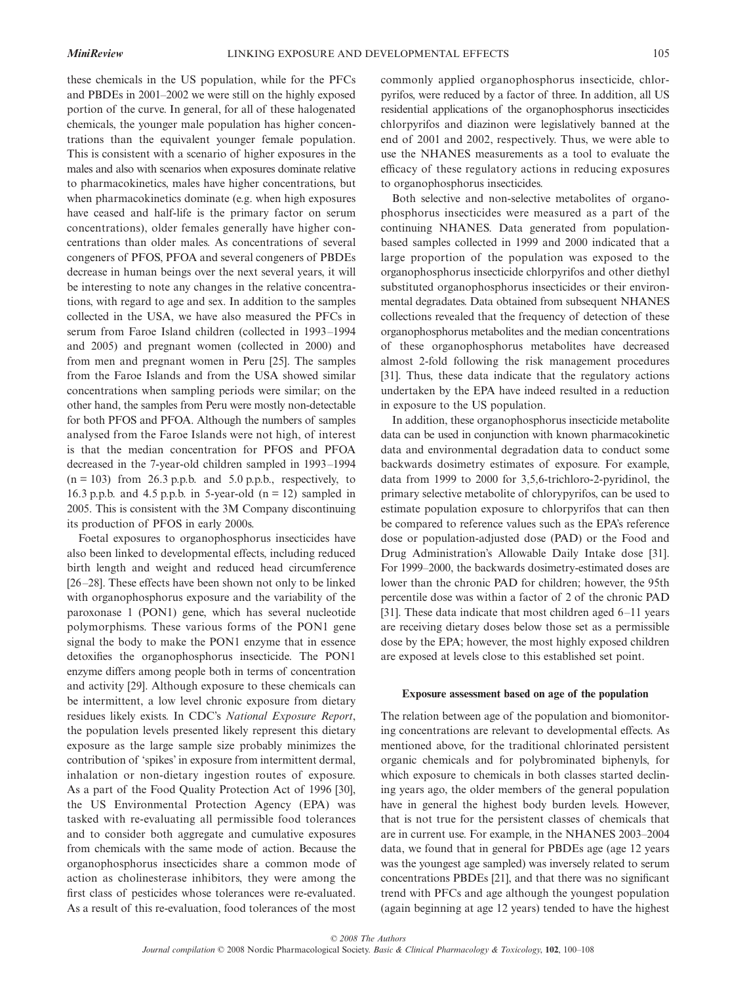these chemicals in the US population, while for the PFCs and PBDEs in 2001–2002 we were still on the highly exposed portion of the curve. In general, for all of these halogenated chemicals, the younger male population has higher concentrations than the equivalent younger female population. This is consistent with a scenario of higher exposures in the males and also with scenarios when exposures dominate relative to pharmacokinetics, males have higher concentrations, but when pharmacokinetics dominate (e.g. when high exposures have ceased and half-life is the primary factor on serum concentrations), older females generally have higher concentrations than older males. As concentrations of several congeners of PFOS, PFOA and several congeners of PBDEs decrease in human beings over the next several years, it will be interesting to note any changes in the relative concentrations, with regard to age and sex. In addition to the samples collected in the USA, we have also measured the PFCs in serum from Faroe Island children (collected in 1993–1994 and 2005) and pregnant women (collected in 2000) and from men and pregnant women in Peru [25]. The samples from the Faroe Islands and from the USA showed similar concentrations when sampling periods were similar; on the other hand, the samples from Peru were mostly non-detectable for both PFOS and PFOA. Although the numbers of samples analysed from the Faroe Islands were not high, of interest is that the median concentration for PFOS and PFOA decreased in the 7-year-old children sampled in 1993–1994  $(n = 103)$  from 26.3 p.p.b. and 5.0 p.p.b., respectively, to 16.3 p.p.b. and 4.5 p.p.b. in 5-year-old  $(n = 12)$  sampled in 2005. This is consistent with the 3M Company discontinuing its production of PFOS in early 2000s.

Foetal exposures to organophosphorus insecticides have also been linked to developmental effects, including reduced birth length and weight and reduced head circumference [26–28]. These effects have been shown not only to be linked with organophosphorus exposure and the variability of the paroxonase 1 (PON1) gene, which has several nucleotide polymorphisms. These various forms of the PON1 gene signal the body to make the PON1 enzyme that in essence detoxifies the organophosphorus insecticide. The PON1 enzyme differs among people both in terms of concentration and activity [29]. Although exposure to these chemicals can be intermittent, a low level chronic exposure from dietary residues likely exists. In CDC's *National Exposure Report*, the population levels presented likely represent this dietary exposure as the large sample size probably minimizes the contribution of 'spikes' in exposure from intermittent dermal, inhalation or non-dietary ingestion routes of exposure. As a part of the Food Quality Protection Act of 1996 [30], the US Environmental Protection Agency (EPA) was tasked with re-evaluating all permissible food tolerances and to consider both aggregate and cumulative exposures from chemicals with the same mode of action. Because the organophosphorus insecticides share a common mode of action as cholinesterase inhibitors, they were among the first class of pesticides whose tolerances were re-evaluated. As a result of this re-evaluation, food tolerances of the most commonly applied organophosphorus insecticide, chlorpyrifos, were reduced by a factor of three. In addition, all US residential applications of the organophosphorus insecticides chlorpyrifos and diazinon were legislatively banned at the end of 2001 and 2002, respectively. Thus, we were able to use the NHANES measurements as a tool to evaluate the efficacy of these regulatory actions in reducing exposures to organophosphorus insecticides.

Both selective and non-selective metabolites of organophosphorus insecticides were measured as a part of the continuing NHANES. Data generated from populationbased samples collected in 1999 and 2000 indicated that a large proportion of the population was exposed to the organophosphorus insecticide chlorpyrifos and other diethyl substituted organophosphorus insecticides or their environmental degradates. Data obtained from subsequent NHANES collections revealed that the frequency of detection of these organophosphorus metabolites and the median concentrations of these organophosphorus metabolites have decreased almost 2-fold following the risk management procedures [31]. Thus, these data indicate that the regulatory actions undertaken by the EPA have indeed resulted in a reduction in exposure to the US population.

In addition, these organophosphorus insecticide metabolite data can be used in conjunction with known pharmacokinetic data and environmental degradation data to conduct some backwards dosimetry estimates of exposure. For example, data from 1999 to 2000 for 3,5,6-trichloro-2-pyridinol, the primary selective metabolite of chlorypyrifos, can be used to estimate population exposure to chlorpyrifos that can then be compared to reference values such as the EPA's reference dose or population-adjusted dose (PAD) or the Food and Drug Administration's Allowable Daily Intake dose [31]. For 1999–2000, the backwards dosimetry-estimated doses are lower than the chronic PAD for children; however, the 95th percentile dose was within a factor of 2 of the chronic PAD [31]. These data indicate that most children aged 6–11 years are receiving dietary doses below those set as a permissible dose by the EPA; however, the most highly exposed children are exposed at levels close to this established set point.

#### **Exposure assessment based on age of the population**

The relation between age of the population and biomonitoring concentrations are relevant to developmental effects. As mentioned above, for the traditional chlorinated persistent organic chemicals and for polybrominated biphenyls, for which exposure to chemicals in both classes started declining years ago, the older members of the general population have in general the highest body burden levels. However, that is not true for the persistent classes of chemicals that are in current use. For example, in the NHANES 2003–2004 data, we found that in general for PBDEs age (age 12 years was the youngest age sampled) was inversely related to serum concentrations PBDEs [21], and that there was no significant trend with PFCs and age although the youngest population (again beginning at age 12 years) tended to have the highest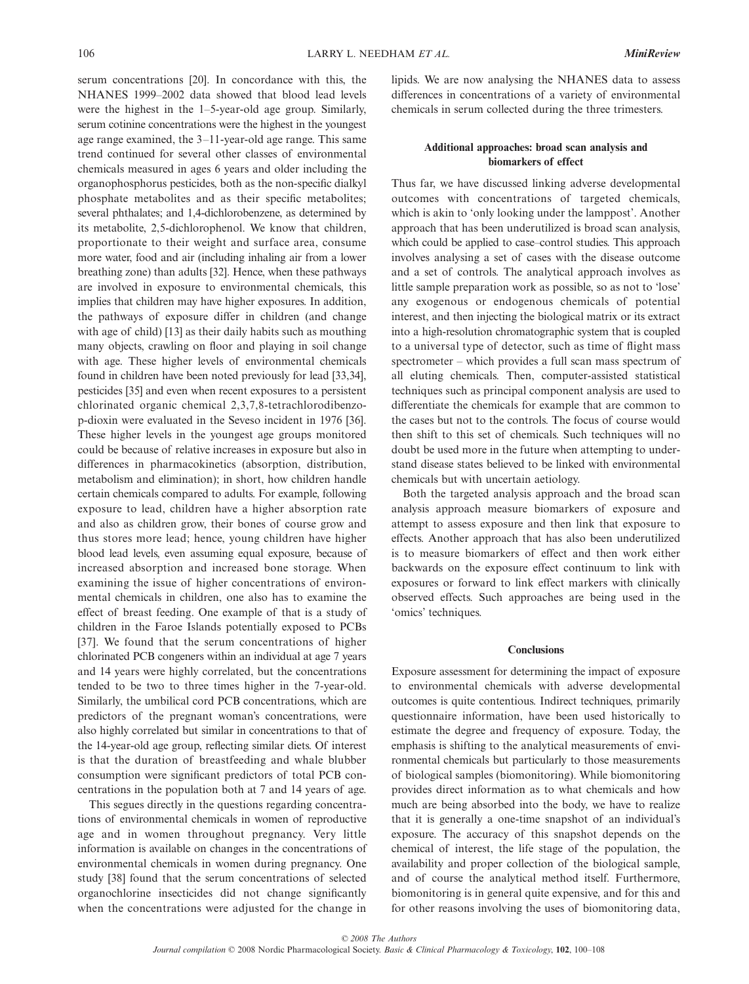serum concentrations [20]. In concordance with this, the NHANES 1999–2002 data showed that blood lead levels were the highest in the 1–5-year-old age group. Similarly, serum cotinine concentrations were the highest in the youngest age range examined, the 3–11-year-old age range. This same trend continued for several other classes of environmental chemicals measured in ages 6 years and older including the organophosphorus pesticides, both as the non-specific dialkyl phosphate metabolites and as their specific metabolites; several phthalates; and 1,4-dichlorobenzene, as determined by its metabolite, 2,5-dichlorophenol. We know that children, proportionate to their weight and surface area, consume more water, food and air (including inhaling air from a lower breathing zone) than adults [32]. Hence, when these pathways are involved in exposure to environmental chemicals, this implies that children may have higher exposures. In addition, the pathways of exposure differ in children (and change with age of child) [13] as their daily habits such as mouthing many objects, crawling on floor and playing in soil change with age. These higher levels of environmental chemicals found in children have been noted previously for lead [33,34], pesticides [35] and even when recent exposures to a persistent chlorinated organic chemical 2,3,7,8-tetrachlorodibenzop-dioxin were evaluated in the Seveso incident in 1976 [36]. These higher levels in the youngest age groups monitored could be because of relative increases in exposure but also in differences in pharmacokinetics (absorption, distribution, metabolism and elimination); in short, how children handle certain chemicals compared to adults. For example, following exposure to lead, children have a higher absorption rate and also as children grow, their bones of course grow and thus stores more lead; hence, young children have higher blood lead levels, even assuming equal exposure, because of increased absorption and increased bone storage. When examining the issue of higher concentrations of environmental chemicals in children, one also has to examine the effect of breast feeding. One example of that is a study of children in the Faroe Islands potentially exposed to PCBs [37]. We found that the serum concentrations of higher chlorinated PCB congeners within an individual at age 7 years and 14 years were highly correlated, but the concentrations tended to be two to three times higher in the 7-year-old. Similarly, the umbilical cord PCB concentrations, which are predictors of the pregnant woman's concentrations, were also highly correlated but similar in concentrations to that of the 14-year-old age group, reflecting similar diets. Of interest is that the duration of breastfeeding and whale blubber consumption were significant predictors of total PCB concentrations in the population both at 7 and 14 years of age.

This segues directly in the questions regarding concentrations of environmental chemicals in women of reproductive age and in women throughout pregnancy. Very little information is available on changes in the concentrations of environmental chemicals in women during pregnancy. One study [38] found that the serum concentrations of selected organochlorine insecticides did not change significantly when the concentrations were adjusted for the change in

lipids. We are now analysing the NHANES data to assess differences in concentrations of a variety of environmental chemicals in serum collected during the three trimesters.

## **Additional approaches: broad scan analysis and biomarkers of effect**

Thus far, we have discussed linking adverse developmental outcomes with concentrations of targeted chemicals, which is akin to 'only looking under the lamppost'. Another approach that has been underutilized is broad scan analysis, which could be applied to case–control studies. This approach involves analysing a set of cases with the disease outcome and a set of controls. The analytical approach involves as little sample preparation work as possible, so as not to 'lose' any exogenous or endogenous chemicals of potential interest, and then injecting the biological matrix or its extract into a high-resolution chromatographic system that is coupled to a universal type of detector, such as time of flight mass spectrometer – which provides a full scan mass spectrum of all eluting chemicals. Then, computer-assisted statistical techniques such as principal component analysis are used to differentiate the chemicals for example that are common to the cases but not to the controls. The focus of course would then shift to this set of chemicals. Such techniques will no doubt be used more in the future when attempting to understand disease states believed to be linked with environmental chemicals but with uncertain aetiology.

Both the targeted analysis approach and the broad scan analysis approach measure biomarkers of exposure and attempt to assess exposure and then link that exposure to effects. Another approach that has also been underutilized is to measure biomarkers of effect and then work either backwards on the exposure effect continuum to link with exposures or forward to link effect markers with clinically observed effects. Such approaches are being used in the 'omics' techniques.

## **Conclusions**

Exposure assessment for determining the impact of exposure to environmental chemicals with adverse developmental outcomes is quite contentious. Indirect techniques, primarily questionnaire information, have been used historically to estimate the degree and frequency of exposure. Today, the emphasis is shifting to the analytical measurements of environmental chemicals but particularly to those measurements of biological samples (biomonitoring). While biomonitoring provides direct information as to what chemicals and how much are being absorbed into the body, we have to realize that it is generally a one-time snapshot of an individual's exposure. The accuracy of this snapshot depends on the chemical of interest, the life stage of the population, the availability and proper collection of the biological sample, and of course the analytical method itself. Furthermore, biomonitoring is in general quite expensive, and for this and for other reasons involving the uses of biomonitoring data,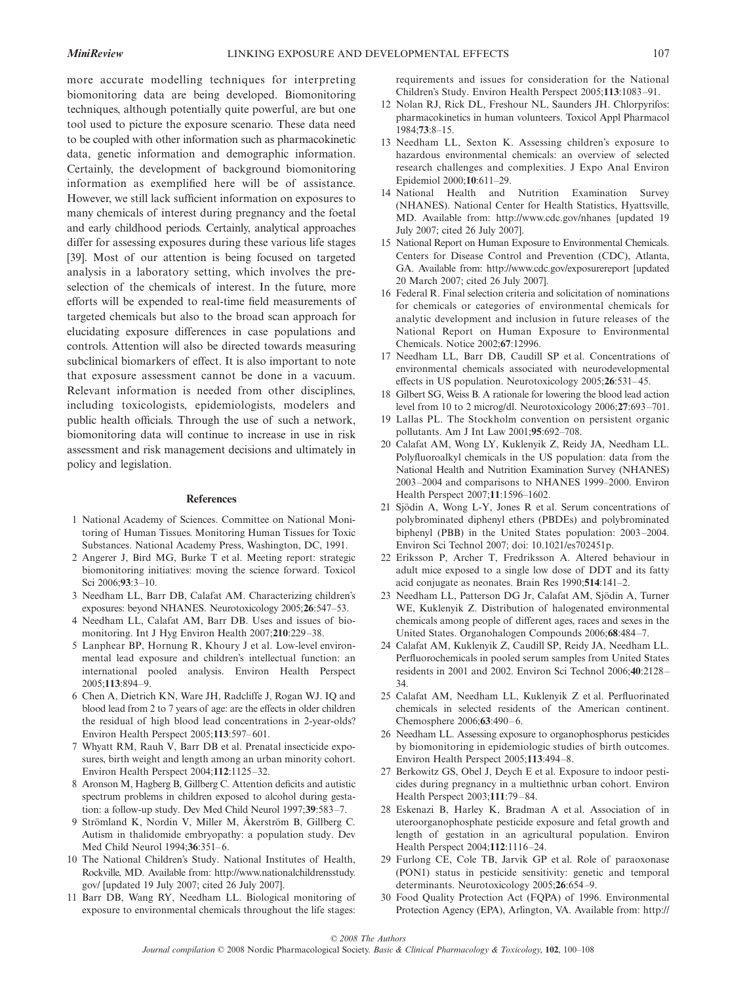more accurate modelling techniques for interpreting biomonitoring data are being developed. Biomonitoring techniques, although potentially quite powerful, are but one tool used to picture the exposure scenario. These data need to be coupled with other information such as pharmacokinetic data, genetic information and demographic information. Certainly, the development of background biomonitoring information as exemplified here will be of assistance. However, we still lack sufficient information on exposures to many chemicals of interest during pregnancy and the foetal and early childhood periods. Certainly, analytical approaches differ for assessing exposures during these various life stages [39]. Most of our attention is being focused on targeted analysis in a laboratory setting, which involves the preselection of the chemicals of interest. In the future, more efforts will be expended to real-time field measurements of targeted chemicals but also to the broad scan approach for elucidating exposure differences in case populations and controls. Attention will also be directed towards measuring subclinical biomarkers of effect. It is also important to note that exposure assessment cannot be done in a vacuum. Relevant information is needed from other disciplines, including toxicologists, epidemiologists, modelers and public health officials. Through the use of such a network, biomonitoring data will continue to increase in use in risk assessment and risk management decisions and ultimately in policy and legislation.

### **References**

- 1 National Academy of Sciences. Committee on National Monitoring of Human Tissues. Monitoring Human Tissues for Toxic Substances. National Academy Press, Washington, DC, 1991.
- 2 Angerer J, Bird MG, Burke T et al. Meeting report: strategic biomonitoring initiatives: moving the science forward. Toxicol Sci 2006;**93**:3–10.
- 3 Needham LL, Barr DB, Calafat AM. Characterizing children's exposures: beyond NHANES. Neurotoxicology 2005;**26**:547–53.
- 4 Needham LL, Calafat AM, Barr DB. Uses and issues of biomonitoring. Int J Hyg Environ Health 2007;**210**:229–38.
- 5 Lanphear BP, Hornung R, Khoury J et al. Low-level environmental lead exposure and children's intellectual function: an international pooled analysis. Environ Health Perspect 2005;**113**:894–9.
- 6 Chen A, Dietrich KN, Ware JH, Radcliffe J, Rogan WJ. IQ and blood lead from 2 to 7 years of age: are the effects in older children the residual of high blood lead concentrations in 2-year-olds? Environ Health Perspect 2005;**113**:597–601.
- 7 Whyatt RM, Rauh V, Barr DB et al. Prenatal insecticide exposures, birth weight and length among an urban minority cohort. Environ Health Perspect 2004;**112**:1125–32.
- 8 Aronson M, Hagberg B, Gillberg C. Attention deficits and autistic spectrum problems in children exposed to alcohol during gestation: a follow-up study. Dev Med Child Neurol 1997;**39**:583–7.
- 9 Strömland K, Nordin V, Miller M, Åkerström B, Gillberg C. Autism in thalidomide embryopathy: a population study. Dev Med Child Neurol 1994;**36**:351–6.
- 10 The National Children's Study. National Institutes of Health, Rockville, MD. Available from: [http://www.nationalchildrensstudy.](http://www.nationalchildrensstudy.gov/) gov/ [updated 19 July 2007; cited 26 July 2007].
- 11 Barr DB, Wang RY, Needham LL. Biological monitoring of exposure to environmental chemicals throughout the life stages:

requirements and issues for consideration for the National Children's Study. Environ Health Perspect 2005;**113**:1083–91.

- 12 Nolan RJ, Rick DL, Freshour NL, Saunders JH. Chlorpyrifos: pharmacokinetics in human volunteers. Toxicol Appl Pharmacol 1984;**73**:8–15.
- 13 Needham LL, Sexton K. Assessing children's exposure to hazardous environmental chemicals: an overview of selected research challenges and complexities. J Expo Anal Environ Epidemiol 2000;**10**:611–29.
- 14 National Health and Nutrition Examination Survey (NHANES). National Center for Health Statistics, Hyattsville, MD. Available from: <http://www.cdc.gov/nhanes>[updated 19 July 2007; cited 26 July 2007].
- 15 National Report on Human Exposure to Environmental Chemicals. Centers for Disease Control and Prevention (CDC), Atlanta, GA. Available from: <http://www.cdc.gov/exposurereport> [updated 20 March 2007; cited 26 July 2007].
- 16 Federal R. Final selection criteria and solicitation of nominations for chemicals or categories of environmental chemicals for analytic development and inclusion in future releases of the National Report on Human Exposure to Environmental Chemicals. Notice 2002;**67**:12996.
- 17 Needham LL, Barr DB, Caudill SP et al. Concentrations of environmental chemicals associated with neurodevelopmental effects in US population. Neurotoxicology 2005;**26**:531–45.
- 18 Gilbert SG, Weiss B. A rationale for lowering the blood lead action level from 10 to 2 microg/dl. Neurotoxicology 2006;**27**:693–701.
- 19 Lallas PL. The Stockholm convention on persistent organic pollutants. Am J Int Law 2001;**95**:692–708.
- 20 Calafat AM, Wong LY, Kuklenyik Z, Reidy JA, Needham LL. Polyfluoroalkyl chemicals in the US population: data from the National Health and Nutrition Examination Survey (NHANES) 2003–2004 and comparisons to NHANES 1999–2000. Environ Health Perspect 2007;**11**:1596–1602.
- 21 Sjödin A, Wong L-Y, Jones R et al. Serum concentrations of polybrominated diphenyl ethers (PBDEs) and polybrominated biphenyl (PBB) in the United States population: 2003–2004. Environ Sci Technol 2007; doi: 10.1021/es702451p.
- 22 Eriksson P, Archer T, Fredriksson A. Altered behaviour in adult mice exposed to a single low dose of DDT and its fatty acid conjugate as neonates. Brain Res 1990;**514**:141–2.
- 23 Needham LL, Patterson DG Jr, Calafat AM, Sjödin A, Turner WE, Kuklenyik Z. Distribution of halogenated environmental chemicals among people of different ages, races and sexes in the United States. Organohalogen Compounds 2006;**68**:484–7.
- 24 Calafat AM, Kuklenyik Z, Caudill SP, Reidy JA, Needham LL. Perfluorochemicals in pooled serum samples from United States residents in 2001 and 2002. Environ Sci Technol 2006;**40**:2128– 34.
- 25 Calafat AM, Needham LL, Kuklenyik Z et al. Perfluorinated chemicals in selected residents of the American continent. Chemosphere 2006;**63**:490–6.
- 26 Needham LL. Assessing exposure to organophosphorus pesticides by biomonitoring in epidemiologic studies of birth outcomes. Environ Health Perspect 2005;**113**:494–8.
- 27 Berkowitz GS, Obel J, Deych E et al. Exposure to indoor pesticides during pregnancy in a multiethnic urban cohort. Environ Health Perspect 2003;**111**:79–84.
- 28 Eskenazi B, Harley K, Bradman A et al. Association of in uteroorganophosphate pesticide exposure and fetal growth and length of gestation in an agricultural population. Environ Health Perspect 2004;**112**:1116–24.
- 29 Furlong CE, Cole TB, Jarvik GP et al. Role of paraoxonase (PON1) status in pesticide sensitivity: genetic and temporal determinants. Neurotoxicology 2005;**26**:654–9.
- 30 Food Quality Protection Act (FQPA) of 1996. Environmental Protection Agency (EPA), Arlington, VA. Available from: [http://](http://www.epa.gov/pesticides/regulating/laws/fqpa/)